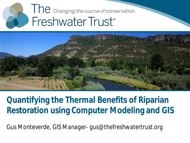# The changing the course of conservation. Freshwater Trust<sup>®</sup>



#### **Quantifying the Thermal Benefits of Riparian Restoration using Computer Modeling and GIS**

Gus Monteverde, *GIS Manager- gus@thefreshwatertrust.org*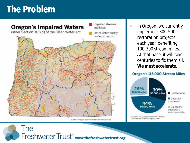# **The Problem**



SQURCE: Oregon Department of Environmental Quality

In Oregon, we currently implement 300-500 restoration projects each year, benefiting 100-300 stream miles. At that pace, it will take centuries to fix them all. **We must accelerate.**

#### Oregon's 115,000 Stream Miles

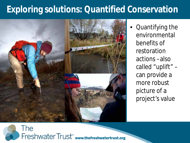# **Exploring solutions: Quantified Conservation**



• Quantifying the environmental benefits of restoration actions –also called "uplift" – can provide a more robust picture of a project's value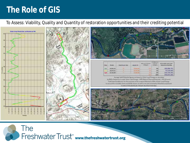#### **The Role of GIS**

To Assess: Viability, Quality and Quantity of restoration opportunities and their crediting potential

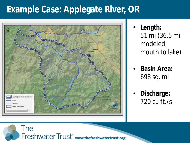# **Example Case: Applegate River, OR**



Freshwater Trust<sup>\*</sup> www.thefreshwatertrust.org

The

- **Length:**  51 mi (36.5 mi modeled, mouth to lake)
- **Basin Area:**  698 sq. mi
- **Discharge:**  720 cu ft./s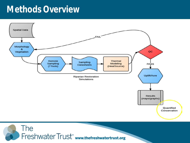#### **Methods Overview**



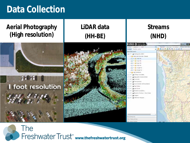#### **Data Collection**

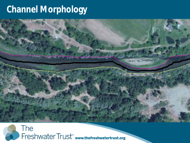### **Channel Morphology**

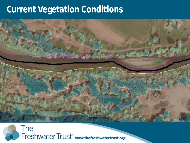#### **Current Vegetation Conditions**

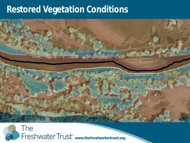#### **Restored Vegetation Conditions**

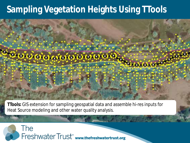# **Sampling Vegetation Heights Using TTools**



**TTools:** GIS extension for sampling geospatial data and assemble hi-res inputs for Heat Source modeling and other water quality analysis.

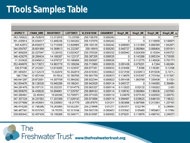#### **TTools Samples Table**

| <b>ASPECT</b> | CHAN_WID   | <b>RIGHTDIST</b> | <b>LEFTDIST</b> | <b>ELEVATION</b> | <b>GRADIENT</b> | Veg1_NE  | Veg2_NE  | Veg3_NE  | $Veg4$ NE $\triangle$ |
|---------------|------------|------------------|-----------------|------------------|-----------------|----------|----------|----------|-----------------------|
| 343.705822    | 26.703678  | 13.372018        | 13.33166        | 258.156316       | 0.000242        | U        | U        | U        |                       |
| 351.430914    | 25.034517  | 12.489236        | 12.545282       | 258.157079       | 0.000242        | 0        | 0        | 0.118858 | 0.188975              |
| 345.42572     | 26.639273  | 12.710308        | 13.928965       | 258.163135       | 0.000242        | 0.006083 | 0.121909 | 0.088385 | 1.642677              |
| 344.054767    | 28.601999  | 14.369613        | 14.232387       | 258.16919        | 0.008293        | 0.045727 | 0.060964 | 0.088404 | 0.051811              |
| 347.969269    | 26.227047  | 13.20162         | 13.025427       | 250.376526       | 0.006535        | 0.060945 | 0.024309 | 0.10364  | 0.045727              |
| 346.429278    | 28.290424  | 14.168287        | 14.122137       | 258.387205       | 0.006535        | 0        | 0.143266 | 0.085334 | 5.739389              |
| 11.310425     | 29.845612  | 14.678727        | 15.166885       | 258.550587       | 0.006535        | 0        | 0.112775 | 5.145026 | 9.701771              |
| 352.404978    | 30.173072  | 14.983778        | 15.189294       | 258.713969       | 0.006535        | 0.091436 | 0.079251 | 4.7244   | 5.492484              |
| 330.57196     | 27.242321  | 12.818285        | 14.424037       | 258.877351       | 0.000042        | 0.219466 | 7.8486   | 4.145291 | 0.12496               |
| 341.565U51    | 32.132579  | 15.82976         | 16.302819       | 258.878393       | 0.000823        | 0.073168 | 0.030473 | 4.815836 | 0.70712               |
| 346.7294      | 32 8521 68 | 16,5914          | 16.260768       | 258.901759       | 0.000823        | 0.124978 | 0.018287 | 6.233164 | 0.313953              |
| 340.641297    | 29.672001  | 14.307709        | 15.364292       | 258.922344       | 0.000823        | 0.091436 | 1.063768 | 7.330436 | 0.1524                |
| 342.854476    | 38.126528  | 18.940288        | 19.186241       | 258.942929       | 0.000114        | 0.045727 | 0        | 0.164585 | 5.394964              |
| 344.291470    | 36.167131  | 10.352351        | 17.014779       | 250.965327       | 0.000114        | 0.115025 | 0.02132  | 5.160262 | 2.667                 |
| 348.959076    | 34.430628  | 16.894861        | 17.535767       | 258.968183       | 0.000114        | 0.109742 | 0.060964 | 5.196836 | 2.837687              |
| 349.380461    | 32.40343   | 16.60346         | 15.799971       | 258.971039       | 0.000114        | 0.04876  | 0.073149 | 0.920502 | 3.285753              |
| 347.307324    | 34.231582  | 17.203389        | 17.028193       | 258.973894       | 0.000114        | 0.094487 | 0.039625 | 0.646193 | 7.196323              |
| 346.577899    | 38.453654  | 19.235863        | 19.21779        | 258.97675        | 0.01211         | 0.063996 | 0.067066 | 0.213364 | 1.237487              |
| 346.414208    | 37.796286  | 19.243985        | 18.552301       | 259.279494       | 0.01211         | 0.051811 | 0.02744  | U        | 0.246887              |
| 346.487341    | 35.015743  | 16.70255         | 18.313194       | 259.582239       | 0.000452        | 0.033542 | 0.05488  | 2.950462 | 0.17984               |
| 339.805442    | 32.457439  | 16.108268        | 16.349171       | 259.810597       | 0.000452        | 0.079251 | 0.118876 | 0.490742 | 2.246375              |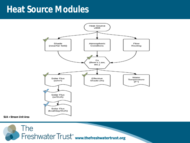#### **Heat Source Modules**



*SUA = Stream Unit Area*

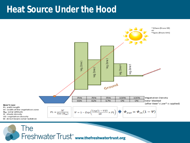#### **Heat Source Under the Hood**

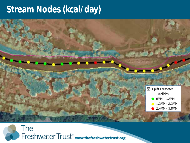#### **Stream Nodes (kcal/day)**

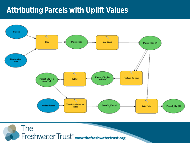#### **Attributing Parcels with Uplift Values**

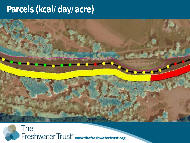# **Parcels (kcal/day/acre)**

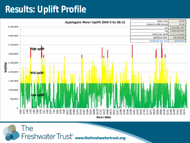### **Results: Uplift Profile**

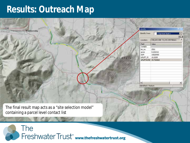#### **Results: Outreach Map**

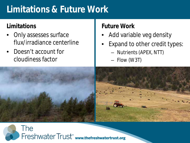# **Limitations & Future Work**

#### **Limitations**

- Only assesses surface flux/irradiance centerline
- Doesn't account for cloudiness factor

#### **Future Work**

- Add variable veg density
- Expand to other credit types:
	- Nutrients (APEX, NTT)
	- Flow (W3T)